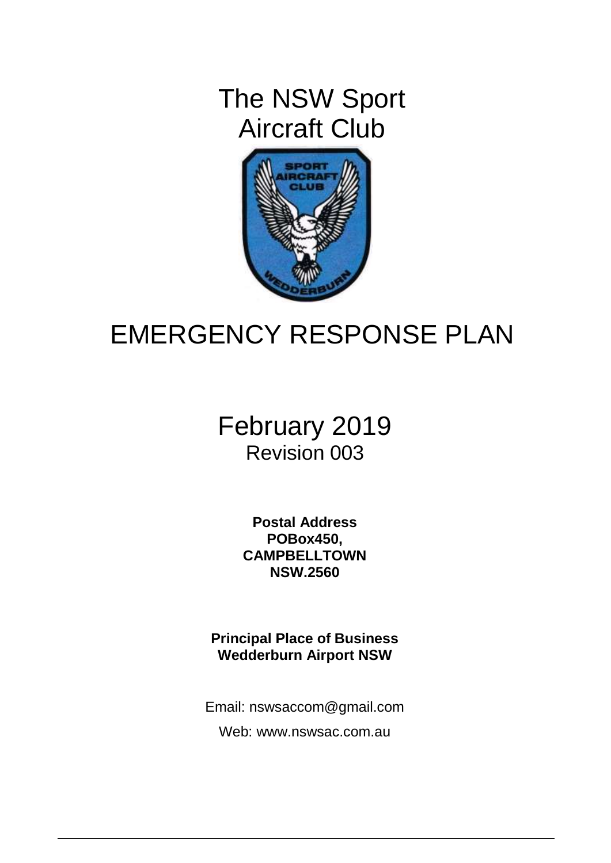The NSW Sport Aircraft Club



# EMERGENCY RESPONSE PLAN

# February 2019 Revision 003

**Postal Address POBox450, CAMPBELLTOWN NSW.2560**

**Principal Place of Business Wedderburn Airport NSW**

Email: nswsaccom@gmail.com

Web: www.nswsac.com.au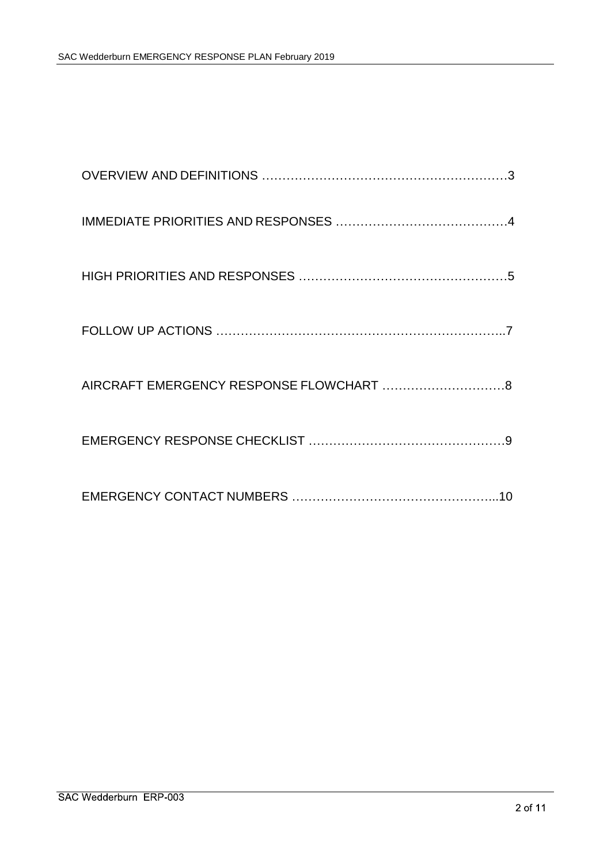| AIRCRAFT EMERGENCY RESPONSE FLOWCHART  8 |
|------------------------------------------|
|                                          |
|                                          |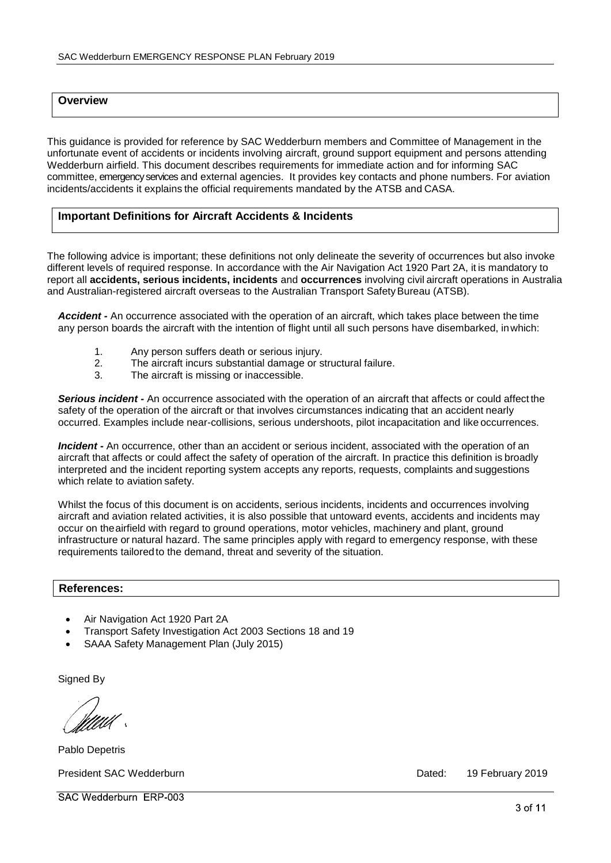### **Overview**

This guidance is provided for reference by SAC Wedderburn members and Committee of Management in the unfortunate event of accidents or incidents involving aircraft, ground support equipment and persons attending Wedderburn airfield. This document describes requirements for immediate action and for informing SAC committee, emergency services and external agencies. It provides key contacts and phone numbers. For aviation incidents/accidents it explains the official requirements mandated by the ATSB and CASA.

### **Important Definitions for Aircraft Accidents & Incidents**

The following advice is important; these definitions not only delineate the severity of occurrences but also invoke different levels of required response. In accordance with the Air Navigation Act 1920 Part 2A, it is mandatory to report all **accidents, serious incidents, incidents** and **occurrences** involving civil aircraft operations in Australia and Australian-registered aircraft overseas to the Australian Transport Safety Bureau (ATSB).

*Accident -* An occurrence associated with the operation of an aircraft, which takes place between the time any person boards the aircraft with the intention of flight until all such persons have disembarked, inwhich:

- 1. Any person suffers death or serious injury.<br>2. The aircraft incurs substantial damage or s
- 2. The aircraft incurs substantial damage or structural failure.<br>3. The aircraft is missing or inaccessible.
- The aircraft is missing or inaccessible.

**Serious incident -** An occurrence associated with the operation of an aircraft that affects or could affect the safety of the operation of the aircraft or that involves circumstances indicating that an accident nearly occurred. Examples include near-collisions, serious undershoots, pilot incapacitation and like occurrences.

*Incident -* An occurrence, other than an accident or serious incident, associated with the operation of an aircraft that affects or could affect the safety of operation of the aircraft. In practice this definition is broadly interpreted and the incident reporting system accepts any reports, requests, complaints and suggestions which relate to aviation safety.

Whilst the focus of this document is on accidents, serious incidents, incidents and occurrences involving aircraft and aviation related activities, it is also possible that untoward events, accidents and incidents may occur on theairfield with regard to ground operations, motor vehicles, machinery and plant, ground infrastructure or natural hazard. The same principles apply with regard to emergency response, with these requirements tailored to the demand, threat and severity of the situation.

#### **References:**

- Air Navigation Act 1920 Part 2A
- Transport Safety Investigation Act 2003 Sections 18 and 19
- SAAA Safety Management Plan (July 2015)

Signed By

Pablo Depetris

President SAC Wedderburn **Dated:** 19 February 2019

SAC Wedderburn ERP-003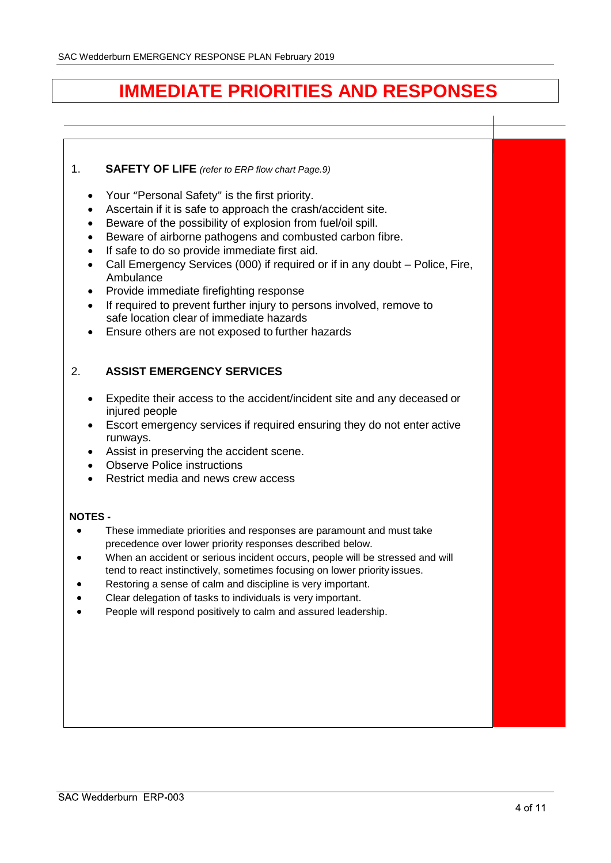# **IMMEDIATE PRIORITIES AND RESPONSES**

### 1. **SAFETY OF LIFE** *(refer to ERP flow chart Page.9)*

- Your "Personal Safety" is the first priority.
- Ascertain if it is safe to approach the crash/accident site.
- Beware of the possibility of explosion from fuel/oil spill.
- Beware of airborne pathogens and combusted carbon fibre.
- If safe to do so provide immediate first aid.
- Call Emergency Services (000) if required or if in any doubt Police, Fire, Ambulance
- Provide immediate firefighting response
- If required to prevent further injury to persons involved, remove to safe location clear of immediate hazards
- Ensure others are not exposed to further hazards

### 2. **ASSIST EMERGENCY SERVICES**

- Expedite their access to the accident/incident site and any deceased or injured people
- Escort emergency services if required ensuring they do not enter active runways.
- Assist in preserving the accident scene.
- Observe Police instructions
- Restrict media and news crew access

#### **NOTES -**

- These immediate priorities and responses are paramount and must take precedence over lower priority responses described below.
- When an accident or serious incident occurs, people will be stressed and will tend to react instinctively, sometimes focusing on lower priority issues.
- Restoring a sense of calm and discipline is very important.
- Clear delegation of tasks to individuals is very important.
- People will respond positively to calm and assured leadership.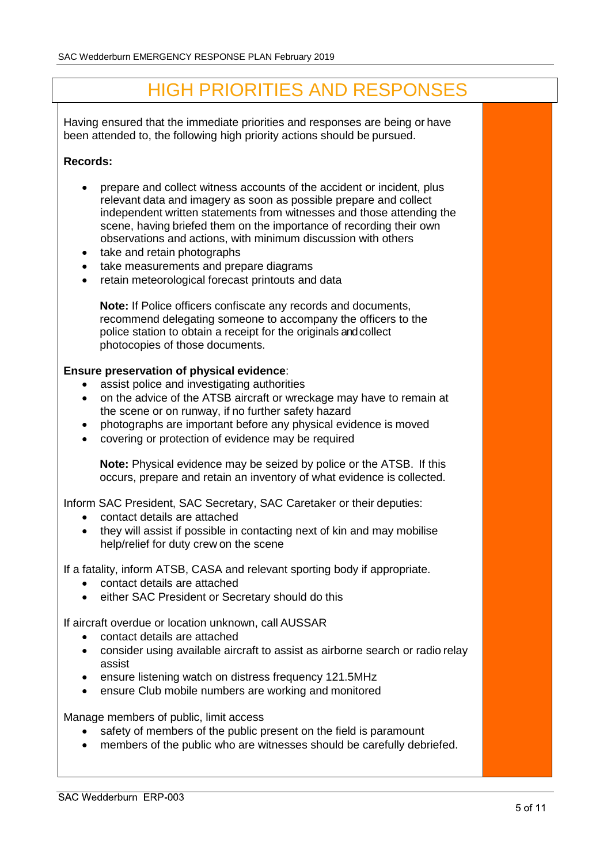# HIGH PRIORITIES AND RESPONSES

Having ensured that the immediate priorities and responses are being or have been attended to, the following high priority actions should be pursued.

### **Records:**

- prepare and collect witness accounts of the accident or incident, plus relevant data and imagery as soon as possible prepare and collect independent written statements from witnesses and those attending the scene, having briefed them on the importance of recording their own observations and actions, with minimum discussion with others
- take and retain photographs
- take measurements and prepare diagrams
- retain meteorological forecast printouts and data

**Note:** If Police officers confiscate any records and documents, recommend delegating someone to accompany the officers to the police station to obtain a receipt for the originals and collect photocopies of those documents.

### **Ensure preservation of physical evidence**:

- assist police and investigating authorities
- on the advice of the ATSB aircraft or wreckage may have to remain at the scene or on runway, if no further safety hazard
- photographs are important before any physical evidence is moved
- covering or protection of evidence may be required

**Note:** Physical evidence may be seized by police or the ATSB. If this occurs, prepare and retain an inventory of what evidence is collected.

Inform SAC President, SAC Secretary, SAC Caretaker or their deputies:

- contact details are attached
- they will assist if possible in contacting next of kin and may mobilise help/relief for duty crew on the scene

If a fatality, inform ATSB, CASA and relevant sporting body if appropriate.

- contact details are attached
- either SAC President or Secretary should do this

If aircraft overdue or location unknown, call AUSSAR

- contact details are attached
- consider using available aircraft to assist as airborne search or radio relay assist
- ensure listening watch on distress frequency 121.5MHz
- ensure Club mobile numbers are working and monitored

Manage members of public, limit access

- safety of members of the public present on the field is paramount
- members of the public who are witnesses should be carefully debriefed.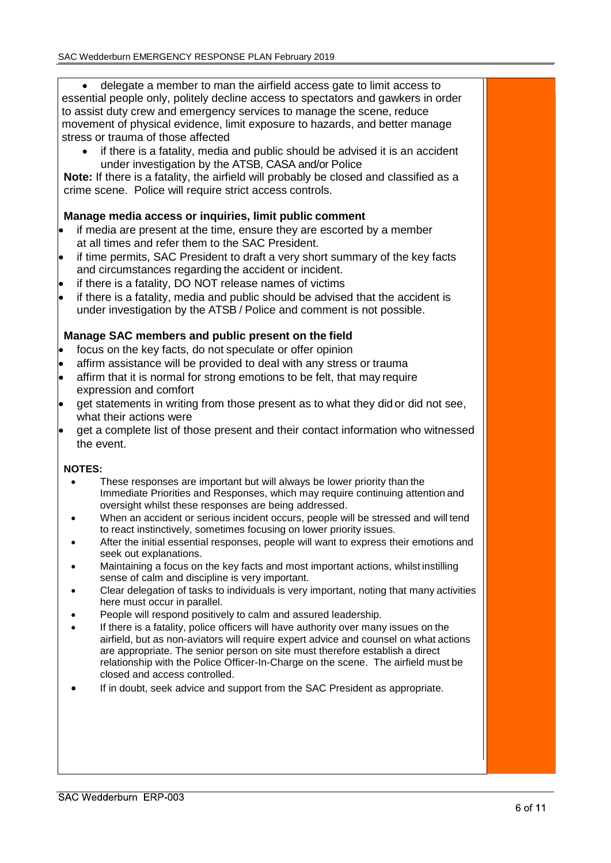delegate a member to man the airfield access gate to limit access to essential people only, politely decline access to spectators and gawkers in order to assist duty crew and emergency services to manage the scene, reduce movement of physical evidence, limit exposure to hazards, and better manage stress or trauma of those affected

 if there is a fatality, media and public should be advised it is an accident under investigation by the ATSB, CASA and/or Police

**Note:** If there is a fatality, the airfield will probably be closed and classified as a crime scene. Police will require strict access controls.

### **Manage media access or inquiries, limit public comment**

- if media are present at the time, ensure they are escorted by a member at all times and refer them to the SAC President.
- if time permits, SAC President to draft a very short summary of the key facts and circumstances regarding the accident or incident.
- if there is a fatality, DO NOT release names of victims
- if there is a fatality, media and public should be advised that the accident is under investigation by the ATSB / Police and comment is not possible.

### **Manage SAC members and public present on the field**

- focus on the key facts, do not speculate or offer opinion
- affirm assistance will be provided to deal with any stress or trauma
- affirm that it is normal for strong emotions to be felt, that may require expression and comfort
- get statements in writing from those present as to what they did or did not see, what their actions were
- get a complete list of those present and their contact information who witnessed the event.

#### **NOTES:**

- These responses are important but will always be lower priority than the Immediate Priorities and Responses, which may require continuing attention and oversight whilst these responses are being addressed.
- When an accident or serious incident occurs, people will be stressed and will tend to react instinctively, sometimes focusing on lower priority issues.
- After the initial essential responses, people will want to express their emotions and seek out explanations.
- Maintaining a focus on the key facts and most important actions, whilst instilling sense of calm and discipline is very important.
- Clear delegation of tasks to individuals is very important, noting that many activities here must occur in parallel.
- People will respond positively to calm and assured leadership.
- If there is a fatality, police officers will have authority over many issues on the airfield, but as non-aviators will require expert advice and counsel on what actions are appropriate. The senior person on site must therefore establish a direct relationship with the Police Officer-In-Charge on the scene. The airfield must be closed and access controlled.
- If in doubt, seek advice and support from the SAC President as appropriate.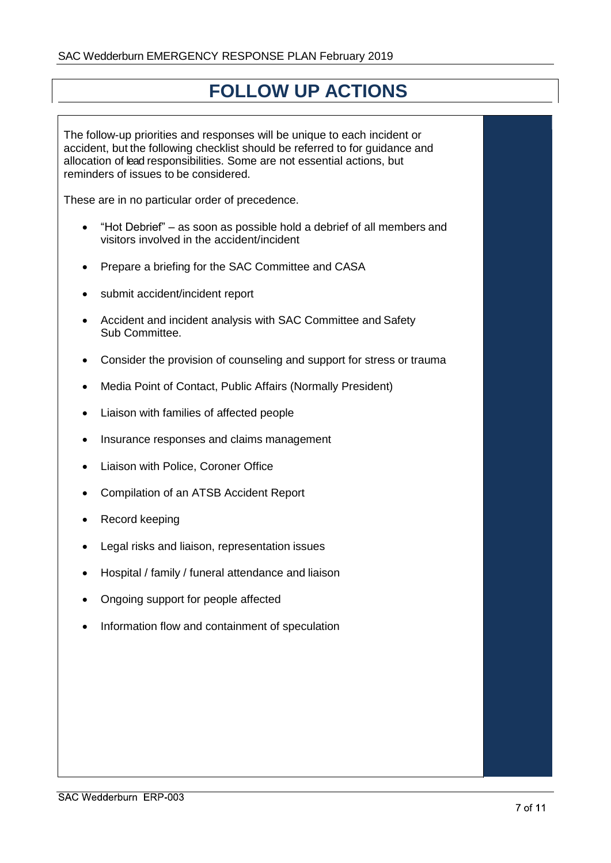## **FOLLOW UP ACTIONS**

The follow-up priorities and responses will be unique to each incident or accident, but the following checklist should be referred to for guidance and allocation of lead responsibilities. Some are not essential actions, but reminders of issues to be considered.

These are in no particular order of precedence.

- "Hot Debrief" as soon as possible hold a debrief of all members and visitors involved in the accident/incident
- Prepare a briefing for the SAC Committee and CASA
- submit accident/incident report
- Accident and incident analysis with SAC Committee and Safety Sub Committee.
- Consider the provision of counseling and support for stress or trauma
- Media Point of Contact, Public Affairs (Normally President)
- Liaison with families of affected people
- Insurance responses and claims management
- Liaison with Police, Coroner Office
- Compilation of an ATSB Accident Report
- Record keeping
- Legal risks and liaison, representation issues
- Hospital / family / funeral attendance and liaison
- Ongoing support for people affected
- Information flow and containment of speculation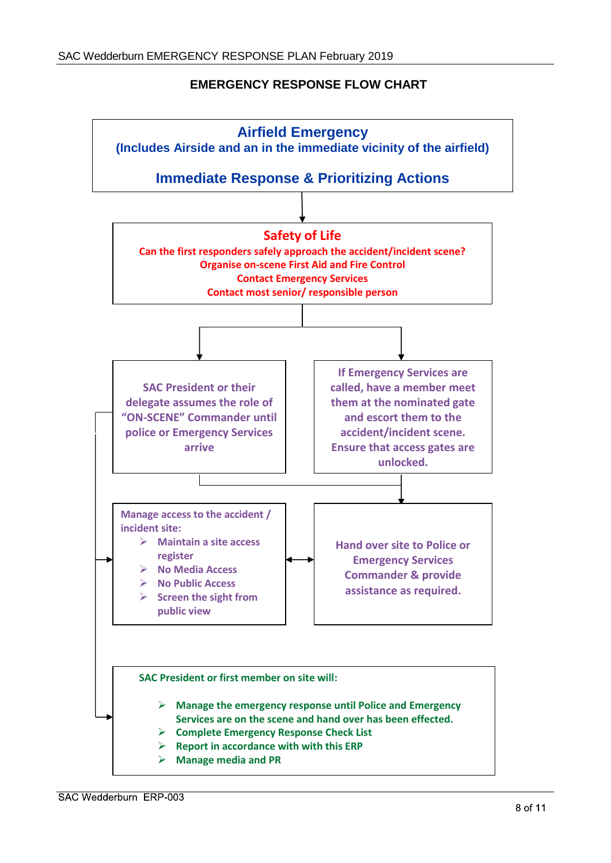### **EMERGENCY RESPONSE FLOW CHART**

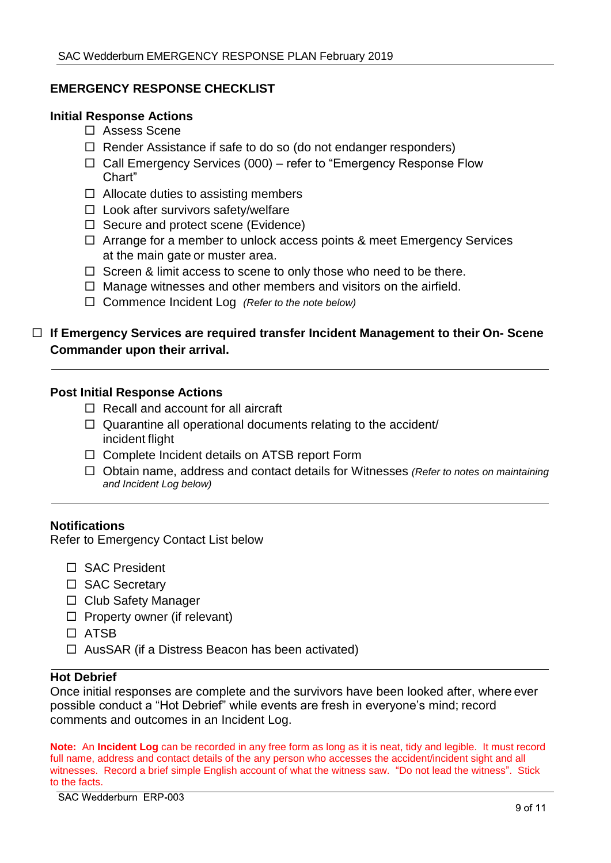### **EMERGENCY RESPONSE CHECKLIST**

### **Initial Response Actions**

- □ Assess Scene
- $\Box$  Render Assistance if safe to do so (do not endanger responders)
- $\Box$  Call Emergency Services (000) refer to "Emergency Response Flow Chart"
- $\Box$  Allocate duties to assisting members
- $\Box$  Look after survivors safety/welfare
- $\Box$  Secure and protect scene (Evidence)
- $\Box$  Arrange for a member to unlock access points & meet Emergency Services at the main gate or muster area.
- $\Box$  Screen & limit access to scene to only those who need to be there.
- $\Box$  Manage witnesses and other members and visitors on the airfield.
- Commence Incident Log *(Refer to the note below)*

### **If Emergency Services are required transfer Incident Management to their On- Scene Commander upon their arrival.**

### **Post Initial Response Actions**

- $\Box$  Recall and account for all aircraft
- $\Box$  Quarantine all operational documents relating to the accident/ incident flight
- □ Complete Incident details on ATSB report Form
- Obtain name, address and contact details for Witnesses *(Refer to notes on maintaining and Incident Log below)*

### **Notifications**

Refer to Emergency Contact List below

- □ SAC President
- □ SAC Secretary
- □ Club Safety Manager
- $\Box$  Property owner (if relevant)
- ATSB
- $\Box$  AusSAR (if a Distress Beacon has been activated)

### **Hot Debrief**

Once initial responses are complete and the survivors have been looked after, where ever possible conduct a "Hot Debrief" while events are fresh in everyone's mind; record comments and outcomes in an Incident Log.

**Note:** An **Incident Log** can be recorded in any free form as long as it is neat, tidy and legible. It must record full name, address and contact details of the any person who accesses the accident/incident sight and all witnesses. Record a brief simple English account of what the witness saw. "Do not lead the witness". Stick to the facts.

SAC Wedderburn ERP-003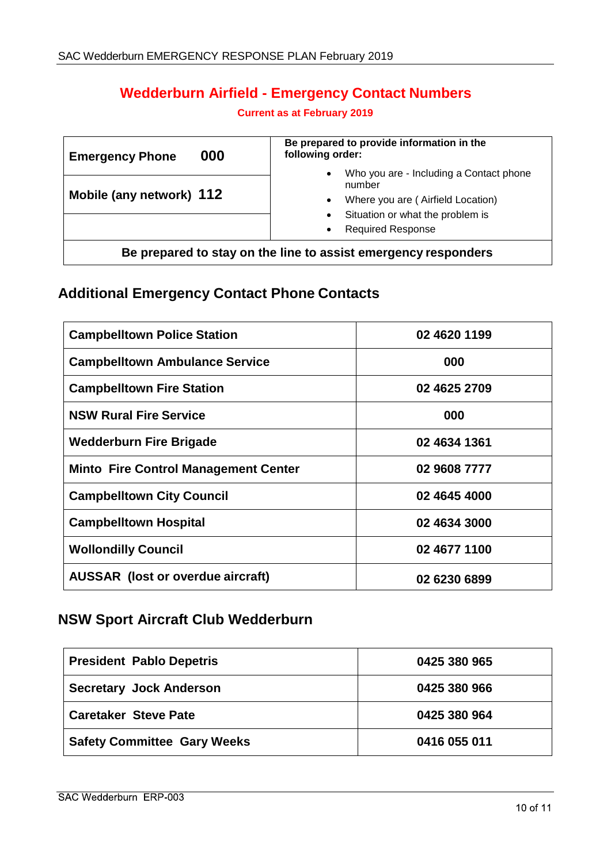### **Wedderburn Airfield - Emergency Contact Numbers**

### **Current as at February 2019**

| 000<br><b>Emergency Phone</b>                                  | Be prepared to provide information in the<br>following order:                                                                                                                                              |  |  |
|----------------------------------------------------------------|------------------------------------------------------------------------------------------------------------------------------------------------------------------------------------------------------------|--|--|
| Mobile (any network) 112                                       | Who you are - Including a Contact phone<br>$\bullet$<br>number<br>Where you are (Airfield Location)<br>$\bullet$<br>Situation or what the problem is<br>$\bullet$<br><b>Required Response</b><br>$\bullet$ |  |  |
| Be prepared to stay on the line to assist emergency responders |                                                                                                                                                                                                            |  |  |

### **Additional Emergency Contact Phone Contacts**

| <b>Campbelltown Police Station</b>          | 02 4620 1199 |
|---------------------------------------------|--------------|
| <b>Campbelltown Ambulance Service</b>       | 000          |
| <b>Campbelltown Fire Station</b>            | 02 4625 2709 |
| <b>NSW Rural Fire Service</b>               | 000          |
| <b>Wedderburn Fire Brigade</b>              | 02 4634 1361 |
| <b>Minto Fire Control Management Center</b> | 02 9608 7777 |
| <b>Campbelltown City Council</b>            | 02 4645 4000 |
| <b>Campbelltown Hospital</b>                | 02 4634 3000 |
| <b>Wollondilly Council</b>                  | 02 4677 1100 |
| <b>AUSSAR</b> (lost or overdue aircraft)    | 02 6230 6899 |

### **NSW Sport Aircraft Club Wedderburn**

| <b>President Pablo Depetris</b>    | 0425 380 965 |
|------------------------------------|--------------|
| <b>Secretary Jock Anderson</b>     | 0425 380 966 |
| <b>Caretaker Steve Pate</b>        | 0425 380 964 |
| <b>Safety Committee Gary Weeks</b> | 0416 055 011 |